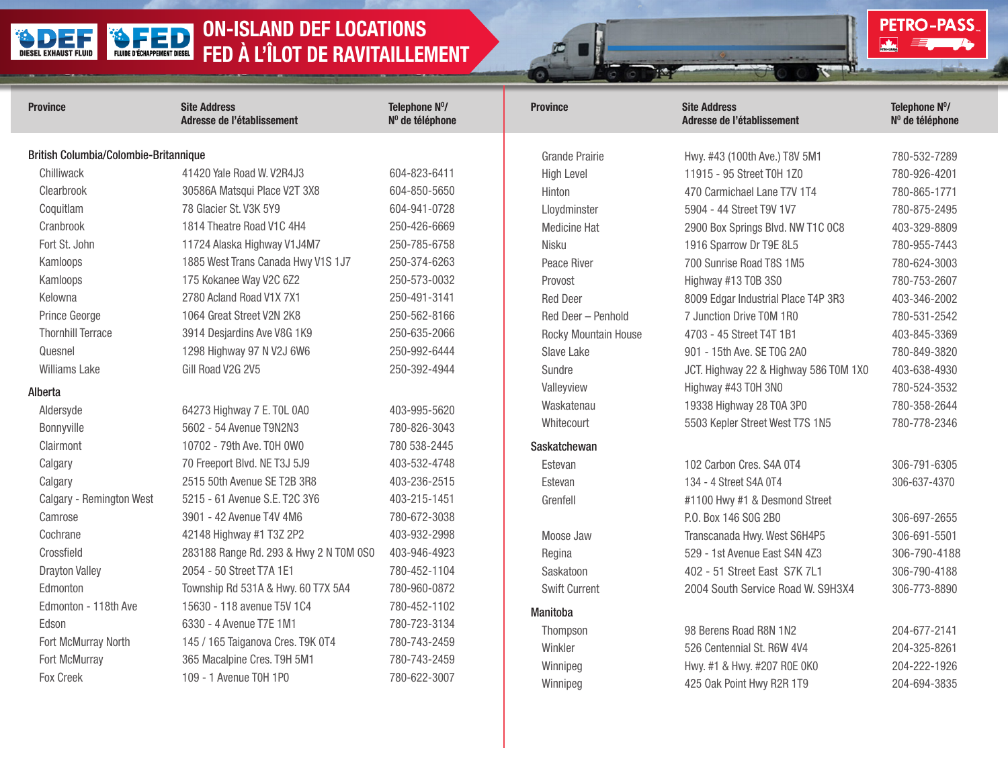## ON-ISLAND DEF LOCATIONS FLUIDE D'ÉCHAPPEMENT DIESEL DIESEL EXHAUST FLUID FED À L'ÎLOT DE RAVITAILLEMENT

| <b>Province</b>                                                                                                                      | <b>Site Address</b><br>Adresse de l'établissement                                                                                                                                                                     | Telephone Nº/<br>Nº de téléphone                                                                             | <b>Province</b>                                                                                                                | <b>Site Address</b><br>Adresse de l'établissement                                                                                                                                                                                        | Telephone Nº/<br>Nº de téléphone                                                                                             |
|--------------------------------------------------------------------------------------------------------------------------------------|-----------------------------------------------------------------------------------------------------------------------------------------------------------------------------------------------------------------------|--------------------------------------------------------------------------------------------------------------|--------------------------------------------------------------------------------------------------------------------------------|------------------------------------------------------------------------------------------------------------------------------------------------------------------------------------------------------------------------------------------|------------------------------------------------------------------------------------------------------------------------------|
| British Columbia/Colombie-Britannique<br>Chilliwack<br>Clearbrook<br>Coquitlam<br>Cranbrook<br>Fort St. John<br>Kamloops<br>Kamloops | 41420 Yale Road W. V2R4J3<br>30586A Matsqui Place V2T 3X8<br>78 Glacier St. V3K 5Y9<br>1814 Theatre Road V1C 4H4<br>11724 Alaska Highway V1J4M7<br>1885 West Trans Canada Hwy V1S 1J7<br>175 Kokanee Way V2C 6Z2      | 604-823-6411<br>604-850-5650<br>604-941-0728<br>250-426-6669<br>250-785-6758<br>250-374-6263<br>250-573-0032 | <b>Grande Prairie</b><br><b>High Level</b><br>Hinton<br>Lloydminster<br><b>Medicine Hat</b><br>Nisku<br>Peace River<br>Provost | Hwy. #43 (100th Ave.) T8V 5M1<br>11915 - 95 Street T0H 1Z0<br>470 Carmichael Lane T7V 1T4<br>5904 - 44 Street T9V 1V7<br>2900 Box Springs Blvd. NW T1C 0C8<br>1916 Sparrow Dr T9E 8L5<br>700 Sunrise Road T8S 1M5<br>Highway #13 T0B 3S0 | 780-532-7289<br>780-926-4201<br>780-865-1771<br>780-875-2495<br>403-329-8809<br>780-955-7443<br>780-624-3003<br>780-753-2607 |
| Kelowna<br>Prince George<br><b>Thornhill Terrace</b><br>Quesnel<br><b>Williams Lake</b>                                              | 2780 Acland Road V1X 7X1<br>1064 Great Street V2N 2K8<br>3914 Desjardins Ave V8G 1K9<br>1298 Highway 97 N V2J 6W6<br>Gill Road V2G 2V5                                                                                | 250-491-3141<br>250-562-8166<br>250-635-2066<br>250-992-6444<br>250-392-4944                                 | <b>Red Deer</b><br>Red Deer - Penhold<br>Rocky Mountain House<br>Slave Lake<br>Sundre                                          | 8009 Edgar Industrial Place T4P 3R3<br>7 Junction Drive T0M 1R0<br>4703 - 45 Street T4T 1B1<br>901 - 15th Ave. SE T0G 2A0<br>JCT. Highway 22 & Highway 586 T0M 1X0                                                                       | 403-346-2002<br>780-531-2542<br>403-845-3369<br>780-849-3820<br>403-638-4930                                                 |
| Alberta<br>Aldersyde<br>Bonnyville<br>Clairmont                                                                                      | 64273 Highway 7 E. TOL 0A0<br>5602 - 54 Avenue T9N2N3<br>10702 - 79th Ave. T0H 0W0<br>70 Freeport Blvd. NE T3J 5J9                                                                                                    | 403-995-5620<br>780-826-3043<br>780 538-2445<br>403-532-4748                                                 | Valleyview<br>Waskatenau<br>Whitecourt<br>Saskatchewan                                                                         | Highway #43 T0H 3N0<br>19338 Highway 28 T0A 3P0<br>5503 Kepler Street West T7S 1N5                                                                                                                                                       | 780-524-3532<br>780-358-2644<br>780-778-2346                                                                                 |
| Calgary<br>Calgary<br>Calgary - Remington West<br>Camrose<br>Cochrane<br>Crossfield                                                  | 2515 50th Avenue SE T2B 3R8<br>5215 - 61 Avenue S.E. T2C 3Y6<br>3901 - 42 Avenue T4V 4M6<br>42148 Highway #1 T3Z 2P2<br>283188 Range Rd. 293 & Hwy 2 N T0M 0S0                                                        | 403-236-2515<br>403-215-1451<br>780-672-3038<br>403-932-2998<br>403-946-4923                                 | Estevan<br>Estevan<br>Grenfell<br>Moose Jaw<br>Regina                                                                          | 102 Carbon Cres. S4A 0T4<br>134 - 4 Street S4A 0T4<br>#1100 Hwy #1 & Desmond Street<br>P.O. Box 146 SOG 2B0<br>Transcanada Hwy. West S6H4P5<br>529 - 1st Avenue East S4N 4Z3                                                             | 306-791-6305<br>306-637-4370<br>306-697-2655<br>306-691-5501<br>306-790-4188                                                 |
| <b>Drayton Valley</b><br>Edmonton<br>Edmonton - 118th Ave<br>Edson<br>Fort McMurray North<br>Fort McMurray<br>Fox Creek              | 2054 - 50 Street T7A 1E1<br>Township Rd 531A & Hwy. 60 T7X 5A4<br>15630 - 118 avenue T5V 1C4<br>6330 - 4 Avenue T7E 1M1<br>145 / 165 Taiganova Cres. T9K 0T4<br>365 Macalpine Cres. T9H 5M1<br>109 - 1 Avenue T0H 1P0 | 780-452-1104<br>780-960-0872<br>780-452-1102<br>780-723-3134<br>780-743-2459<br>780-743-2459<br>780-622-3007 | Saskatoon<br><b>Swift Current</b><br>Manitoba<br>Thompson<br>Winkler<br>Winnipeg<br>Winnipeg                                   | 402 - 51 Street East S7K 7L1<br>2004 South Service Road W. S9H3X4<br>98 Berens Road R8N 1N2<br>526 Centennial St. R6W 4V4<br>Hwy. #1 & Hwy. #207 R0E 0K0<br>425 Oak Point Hwy R2R 1T9                                                    | 306-790-4188<br>306-773-8890<br>204-677-2141<br>204-325-8261<br>204-222-1926<br>204-694-3835                                 |

PETRO-PASS

 $\frac{1}{\sqrt{2}}$ 

шï